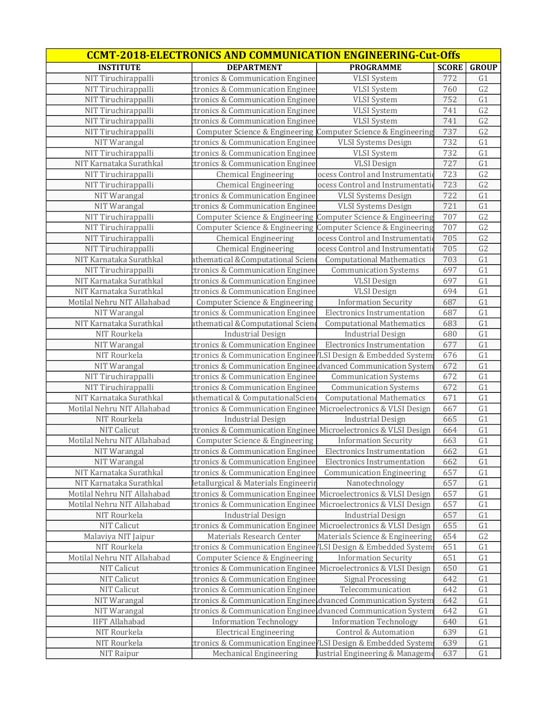| <b>CCMT-2018-ELECTRONICS AND COMMUNICATION ENGINEERING-Cut-Offs</b> |                                                                 |                                  |              |                 |
|---------------------------------------------------------------------|-----------------------------------------------------------------|----------------------------------|--------------|-----------------|
| <b>INSTITUTE</b>                                                    | <b>DEPARTMENT</b>                                               | <b>PROGRAMME</b>                 | <b>SCORE</b> | <b>GROUP</b>    |
| NIT Tiruchirappalli                                                 | ctronics & Communication Enginee                                | <b>VLSI</b> System               | 772          | G1              |
| NIT Tiruchirappalli                                                 | ctronics & Communication Enginee                                | <b>VLSI</b> System               | 760          | G <sub>2</sub>  |
| NIT Tiruchirappalli                                                 | ctronics & Communication Enginee                                | <b>VLSI</b> System               | 752          | G1              |
| NIT Tiruchirappalli                                                 | ctronics & Communication Enginee                                | <b>VLSI</b> System               | 741          | G2              |
| NIT Tiruchirappalli                                                 | ctronics & Communication Enginee                                | <b>VLSI</b> System               | 741          | G2              |
| NIT Tiruchirappalli                                                 | Computer Science & Engineering                                  | Computer Science & Engineering   | 737          | G <sub>2</sub>  |
| NIT Warangal                                                        | ctronics & Communication Enginee                                | <b>VLSI Systems Design</b>       | 732          | G1              |
| NIT Tiruchirappalli                                                 | ctronics & Communication Enginee                                | <b>VLSI</b> System               | 732          | G1              |
| NIT Karnataka Surathkal                                             | ctronics & Communication Enginee                                | <b>VLSI</b> Design               | 727          | G1              |
| NIT Tiruchirappalli                                                 | <b>Chemical Engineering</b>                                     | ocess Control and Instrumentati  | 723          | G2              |
| NIT Tiruchirappalli                                                 | <b>Chemical Engineering</b>                                     | ocess Control and Instrumentati  | 723          | G2              |
| NIT Warangal                                                        | ctronics & Communication Enginee                                | <b>VLSI Systems Design</b>       | 722          | G1              |
| NIT Warangal                                                        | ctronics & Communication Enginee                                | <b>VLSI Systems Design</b>       | 721          | G1              |
| NIT Tiruchirappalli                                                 | Computer Science & Engineering                                  | Computer Science & Engineering   | 707          | G <sub>2</sub>  |
| NIT Tiruchirappalli                                                 | Computer Science & Engineering                                  | Computer Science & Engineering   | 707          | G <sub>2</sub>  |
| NIT Tiruchirappalli                                                 | <b>Chemical Engineering</b>                                     | ocess Control and Instrumentati  | 705          | G <sub>2</sub>  |
| NIT Tiruchirappalli                                                 | <b>Chemical Engineering</b>                                     | ocess Control and Instrumentati  | 705          | G2              |
| NIT Karnataka Surathkal                                             | athematical & Computational Sciene                              | <b>Computational Mathematics</b> | 703          | G1              |
| NIT Tiruchirappalli                                                 | ctronics & Communication Enginee                                | <b>Communication Systems</b>     | 697          | G1              |
| NIT Karnataka Surathkal                                             | ctronics & Communication Enginee                                | <b>VLSI</b> Design               | 697          | G1              |
| NIT Karnataka Surathkal                                             | ctronics & Communication Enginee                                | <b>VLSI</b> Design               | 694          | G1              |
| Motilal Nehru NIT Allahabad                                         | Computer Science & Engineering                                  | <b>Information Security</b>      | 687          | G1              |
| NIT Warangal                                                        | ctronics & Communication Enginee                                | Electronics Instrumentation      | 687          | G1              |
| NIT Karnataka Surathkal                                             | athematical & Computational Scien                               | <b>Computational Mathematics</b> | 683          | G1              |
| NIT Rourkela                                                        | <b>Industrial Design</b>                                        | <b>Industrial Design</b>         | 680          | G1              |
| NIT Warangal                                                        | ctronics & Communication Enginee                                | Electronics Instrumentation      | 677          | G1              |
| NIT Rourkela                                                        | ctronics & Communication Enginee/LSI Design & Embedded System   |                                  | 676          | G1              |
| NIT Warangal                                                        | ctronics & Communication Engineeldvanced Communication System   |                                  | 672          | G1              |
| NIT Tiruchirappalli                                                 | ctronics & Communication Enginee                                | <b>Communication Systems</b>     | 672          | G1              |
| NIT Tiruchirappalli                                                 | ctronics & Communication Enginee                                | <b>Communication Systems</b>     | 672          | G1              |
| NIT Karnataka Surathkal                                             | athematical & ComputationalScien                                | <b>Computational Mathematics</b> | 671          | $\overline{G1}$ |
| Motilal Nehru NIT Allahabad                                         | ctronics & Communication Enginee                                | Microelectronics & VLSI Design   | 667          | G1              |
| NIT Rourkela                                                        | <b>Industrial Design</b>                                        | <b>Industrial Design</b>         | 665          | G1              |
| <b>NIT Calicut</b>                                                  | ctronics & Communication Enginee Microelectronics & VLSI Design |                                  | 664          | G1              |
| Motilal Nehru NIT Allahabad                                         | Computer Science & Engineering                                  | <b>Information Security</b>      | 663          | G1              |
| NIT Warangal                                                        | ctronics & Communication Enginee                                | Electronics Instrumentation      | 662          | G1              |
| NIT Warangal                                                        | ctronics & Communication Enginee                                | Electronics Instrumentation      | 662          | G1              |
| NIT Karnataka Surathkal                                             | ctronics & Communication Enginee                                | <b>Communication Engineering</b> | 657          | G1              |
| NIT Karnataka Surathkal                                             | letallurgical & Materials Engineerir                            | Nanotechnology                   | 657          | G1              |
| Motilal Nehru NIT Allahabad                                         | ctronics & Communication Enginee                                | Microelectronics & VLSI Design   | 657          | G1              |
| Motilal Nehru NIT Allahabad                                         | ctronics & Communication Enginee                                | Microelectronics & VLSI Design   | 657          | G1              |
| NIT Rourkela                                                        | <b>Industrial Design</b>                                        | <b>Industrial Design</b>         | 657          | G1              |
| NIT Calicut                                                         | ctronics & Communication Enginee Microelectronics & VLSI Design |                                  | 655          | G1              |
| Malaviya NIT Jaipur                                                 | Materials Research Center                                       | Materials Science & Engineering  | 654          | G2              |
| NIT Rourkela                                                        | ctronics & Communication Enginee / LSI Design & Embedded System |                                  | 651          | G1              |
| Motilal Nehru NIT Allahabad                                         | Computer Science & Engineering                                  | <b>Information Security</b>      | 651          | G1              |
| NIT Calicut                                                         | ctronics & Communication Enginee                                | Microelectronics & VLSI Design   | 650          | G1              |
| NIT Calicut                                                         | ctronics & Communication Enginee                                | <b>Signal Processing</b>         | 642          | G1              |
| NIT Calicut                                                         | ctronics & Communication Enginee                                | Telecommunication                | 642          | G1              |
| NIT Warangal                                                        | ctronics & Communication Enginee dvanced Communication System   |                                  | 642          | G1              |
| NIT Warangal                                                        | ctronics & Communication Enginee                                | dvanced Communication System     | 642          | G1              |
| <b>IIFT Allahabad</b>                                               | <b>Information Technology</b>                                   | <b>Information Technology</b>    | 640          | G1              |
| NIT Rourkela                                                        | <b>Electrical Engineering</b>                                   | Control & Automation             | 639          | G1              |
| NIT Rourkela                                                        | tronics & Communication Enginee/LSI Design & Embedded System    |                                  | 639          | G1              |
| NIT Raipur                                                          | Mechanical Engineering                                          | lustrial Engineering & Manageme  | 637          | G1              |
|                                                                     |                                                                 |                                  |              |                 |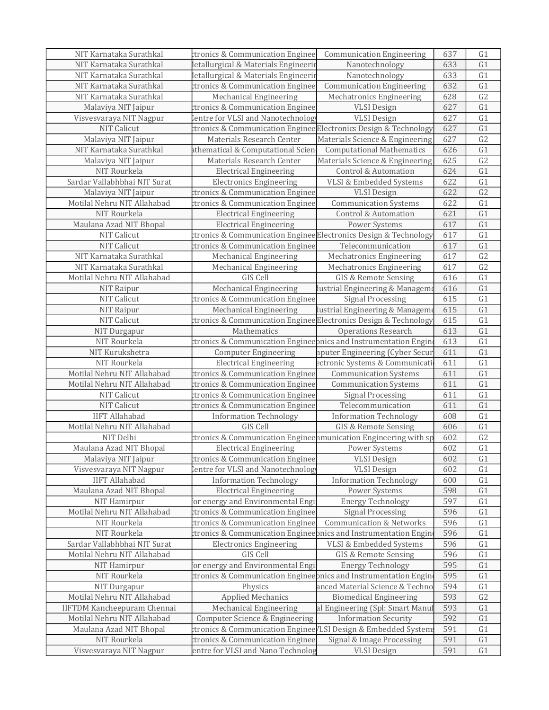| NIT Karnataka Surathkal            | ctronics & Communication Enginee                                 | <b>Communication Engineering</b>    | 637 | G <sub>1</sub>  |
|------------------------------------|------------------------------------------------------------------|-------------------------------------|-----|-----------------|
| NIT Karnataka Surathkal            | letallurgical & Materials Engineerir                             | Nanotechnology                      | 633 | G1              |
| NIT Karnataka Surathkal            | letallurgical & Materials Engineerir                             | Nanotechnology                      | 633 | G1              |
| NIT Karnataka Surathkal            | ctronics & Communication Enginee                                 | <b>Communication Engineering</b>    | 632 | G1              |
| NIT Karnataka Surathkal            | Mechanical Engineering                                           | Mechatronics Engineering            | 628 | G2              |
| Malaviya NIT Jaipur                | ctronics & Communication Enginee                                 | <b>VLSI</b> Design                  | 627 | G1              |
| Visvesvaraya NIT Nagpur            | entre for VLSI and Nanotechnology                                | <b>VLSI</b> Design                  | 627 | G1              |
| <b>NIT Calicut</b>                 | ctronics & Communication Enginee Electronics Design & Technology |                                     | 627 | G1              |
| Malaviya NIT Jaipur                | Materials Research Center                                        | Materials Science & Engineering     | 627 | G2              |
| NIT Karnataka Surathkal            | athematical & Computational Scien                                | <b>Computational Mathematics</b>    | 626 | G1              |
| Malaviya NIT Jaipur                | Materials Research Center                                        | Materials Science & Engineering     | 625 | $\overline{G2}$ |
| NIT Rourkela                       | <b>Electrical Engineering</b>                                    | <b>Control &amp; Automation</b>     | 624 | G1              |
| Sardar Vallabhbhai NIT Surat       | <b>Electronics Engineering</b>                                   | VLSI & Embedded Systems             | 622 | G1              |
| Malaviya NIT Jaipur                | ctronics & Communication Enginee                                 | <b>VLSI Design</b>                  | 622 | $\overline{G2}$ |
| Motilal Nehru NIT Allahabad        | ctronics & Communication Enginee                                 | <b>Communication Systems</b>        | 622 | G1              |
| NIT Rourkela                       | <b>Electrical Engineering</b>                                    | Control & Automation                | 621 | G1              |
| Maulana Azad NIT Bhopal            | <b>Electrical Engineering</b>                                    | Power Systems                       | 617 | G1              |
| NIT Calicut                        | ctronics & Communication Enginee Electronics Design & Technology |                                     | 617 | G1              |
| <b>NIT Calicut</b>                 | ctronics & Communication Enginee                                 | Telecommunication                   | 617 | G1              |
| NIT Karnataka Surathkal            | Mechanical Engineering                                           | Mechatronics Engineering            | 617 | G2              |
| NIT Karnataka Surathkal            | Mechanical Engineering                                           | Mechatronics Engineering            | 617 | G2              |
| Motilal Nehru NIT Allahabad        | GIS Cell                                                         | GIS & Remote Sensing                | 616 | G1              |
| NIT Raipur                         | Mechanical Engineering                                           | lustrial Engineering & Manageme     | 616 | G1              |
| NIT Calicut                        | ctronics & Communication Enginee                                 | <b>Signal Processing</b>            | 615 | G1              |
| NIT Raipur                         | <b>Mechanical Engineering</b>                                    | lustrial Engineering & Manageme     | 615 | G1              |
| NIT Calicut                        | tronics & Communication Enginee Electronics Design & Technology  |                                     | 615 | G1              |
| NIT Durgapur                       | Mathematics                                                      | <b>Operations Research</b>          | 613 | G1              |
| NIT Rourkela                       | ctronics & Communication Engineepnics and Instrumentation Engin  |                                     | 613 | G1              |
| NIT Kurukshetra                    | <b>Computer Engineering</b>                                      | nputer Engineering (Cyber Secur     | 611 | G1              |
| NIT Rourkela                       | <b>Electrical Engineering</b>                                    | ectronic Systems & Communicati      | 611 | G1              |
| Motilal Nehru NIT Allahabad        | ctronics & Communication Enginee                                 | <b>Communication Systems</b>        | 611 | G1              |
| Motilal Nehru NIT Allahabad        | ctronics & Communication Enginee                                 | <b>Communication Systems</b>        | 611 | G1              |
| NIT Calicut                        | ctronics & Communication Enginee                                 | <b>Signal Processing</b>            | 611 | G1              |
| <b>NIT Calicut</b>                 | ctronics & Communication Enginee                                 | Telecommunication                   | 611 | G1              |
| <b>IIFT Allahabad</b>              | <b>Information Technology</b>                                    | <b>Information Technology</b>       | 608 | G1              |
| Motilal Nehru NIT Allahabad        | GIS Cell                                                         | GIS & Remote Sensing                | 606 | G1              |
| NIT Delhi                          | ctronics & Communication Engineenmunication Engineering with sp  |                                     | 602 | G <sub>2</sub>  |
| Maulana Azad NIT Bhopal            | <b>Electrical Engineering</b>                                    | Power Systems                       | 602 | G1              |
| Malaviya NIT Jaipur                | ctronics & Communication Enginee                                 | <b>VLSI</b> Design                  | 602 | G1              |
| Visvesvaraya NIT Nagpur            | entre for VLSI and Nanotechnology                                | <b>VLSI</b> Design                  | 602 | G <sub>1</sub>  |
| <b>IIFT Allahabad</b>              | <b>Information Technology</b>                                    | <b>Information Technology</b>       | 600 | G1              |
| Maulana Azad NIT Bhopal            | <b>Electrical Engineering</b>                                    | Power Systems                       | 598 | G1              |
| NIT Hamirpur                       | or energy and Environmental Engi                                 | <b>Energy Technology</b>            | 597 | G1              |
| Motilal Nehru NIT Allahabad        | ctronics & Communication Enginee                                 | <b>Signal Processing</b>            | 596 | G1              |
| NIT Rourkela                       | ctronics & Communication Enginee                                 | <b>Communication &amp; Networks</b> | 596 | G1              |
| NIT Rourkela                       | ctronics & Communication Engineebnics and Instrumentation Engin  |                                     | 596 | G1              |
| Sardar Vallabhbhai NIT Surat       | <b>Electronics Engineering</b>                                   | VLSI & Embedded Systems             | 596 | G1              |
| Motilal Nehru NIT Allahabad        | GIS Cell                                                         | <b>GIS &amp; Remote Sensing</b>     | 596 | G1              |
| NIT Hamirpur                       | or energy and Environmental Engi                                 | <b>Energy Technology</b>            | 595 | G1              |
| NIT Rourkela                       | ctronics & Communication Engineepnics and Instrumentation Engin  |                                     | 595 | G <sub>1</sub>  |
| NIT Durgapur                       | Physics                                                          | anced Material Science & Techno     | 594 | G <sub>1</sub>  |
| Motilal Nehru NIT Allahabad        | <b>Applied Mechanics</b>                                         | <b>Biomedical Engineering</b>       | 593 | G2              |
| <b>IIFTDM Kancheepuram Chennai</b> | <b>Mechanical Engineering</b>                                    | al Engineering (Spl: Smart Manu     | 593 | G1              |
| Motilal Nehru NIT Allahabad        | Computer Science & Engineering                                   | <b>Information Security</b>         | 592 | G1              |
| Maulana Azad NIT Bhopal            | tronics & Communication Enginee/LSI Design & Embedded System     |                                     | 591 | G1              |
| NIT Rourkela                       | ctronics & Communication Enginee                                 | Signal & Image Processing           | 591 | G <sub>1</sub>  |
| Visvesvaraya NIT Nagpur            | entre for VLSI and Nano Technolog                                | <b>VLSI</b> Design                  | 591 | G <sub>1</sub>  |
|                                    |                                                                  |                                     |     |                 |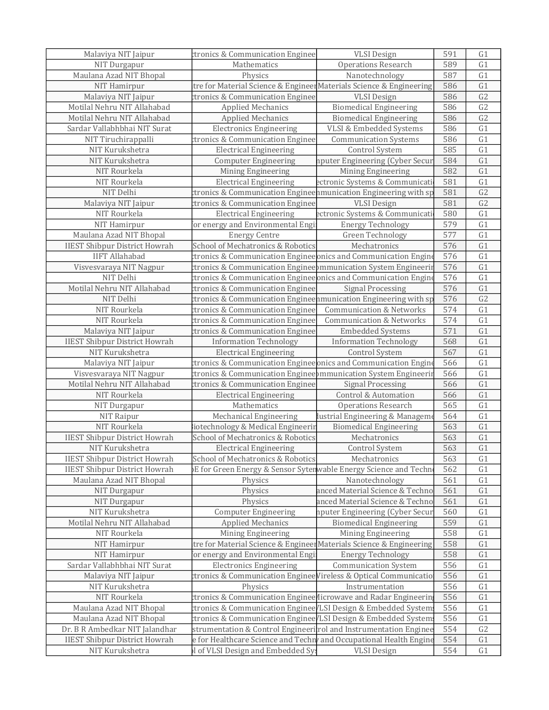| Malaviya NIT Jaipur                  | ctronics & Communication Enginee                                         | <b>VLSI</b> Design                  | 591 | G1              |
|--------------------------------------|--------------------------------------------------------------------------|-------------------------------------|-----|-----------------|
| NIT Durgapur                         | Mathematics                                                              | <b>Operations Research</b>          | 589 | G1              |
| Maulana Azad NIT Bhopal              | Physics                                                                  | Nanotechnology                      | 587 | G1              |
| NIT Hamirpur                         | tre for Material Science & Engineer Materials Science & Engineering      |                                     | 586 | G1              |
| Malaviya NIT Jaipur                  | ctronics & Communication Enginee                                         | <b>VLSI</b> Design                  | 586 | G2              |
| Motilal Nehru NIT Allahabad          | <b>Applied Mechanics</b>                                                 | <b>Biomedical Engineering</b>       | 586 | G2              |
| Motilal Nehru NIT Allahabad          | <b>Applied Mechanics</b>                                                 | <b>Biomedical Engineering</b>       | 586 | G2              |
| Sardar Vallabhbhai NIT Surat         | <b>Electronics Engineering</b>                                           | VLSI & Embedded Systems             | 586 | $\overline{G1}$ |
| NIT Tiruchirappalli                  | ctronics & Communication Enginee                                         | <b>Communication Systems</b>        | 586 | G1              |
| NIT Kurukshetra                      | <b>Electrical Engineering</b>                                            | Control System                      | 585 | G1              |
| NIT Kurukshetra                      | <b>Computer Engineering</b>                                              | nputer Engineering (Cyber Secur     | 584 | G1              |
| NIT Rourkela                         | Mining Engineering                                                       | Mining Engineering                  | 582 | G1              |
| NIT Rourkela                         | <b>Electrical Engineering</b>                                            | ectronic Systems & Communicati      | 581 | G1              |
| NIT Delhi                            | ctronics & Communication Engineenmunication Engineering with sp          |                                     | 581 | G2              |
| Malaviya NIT Jaipur                  | ctronics & Communication Enginee                                         | <b>VLSI</b> Design                  | 581 | G2              |
| NIT Rourkela                         | <b>Electrical Engineering</b>                                            | ectronic Systems & Communicati      | 580 | G1              |
| NIT Hamirpur                         | or energy and Environmental Engi                                         | <b>Energy Technology</b>            | 579 | G1              |
| Maulana Azad NIT Bhopal              | <b>Energy Centre</b>                                                     | Green Technology                    | 577 | G1              |
| <b>IIEST Shibpur District Howrah</b> | School of Mechatronics & Robotics                                        | Mechatronics                        | 576 | G1              |
| <b>IIFT Allahabad</b>                | tronics & Communication Enginee onics and Communication Engine           |                                     | 576 | G1              |
| Visvesvaraya NIT Nagpur              | ctronics & Communication Engineeþmmunication System Engineerir           |                                     | 576 | G1              |
| NIT Delhi                            | ctronics & Communication Enginee onics and Communication Engine          |                                     | 576 | G1              |
| Motilal Nehru NIT Allahabad          | ctronics & Communication Enginee                                         | Signal Processing                   | 576 | G1              |
| NIT Delhi                            | ctronics & Communication Engineenmunication Engineering with sp          |                                     | 576 | G <sub>2</sub>  |
| NIT Rourkela                         | ctronics & Communication Enginee                                         | <b>Communication &amp; Networks</b> | 574 | G1              |
| NIT Rourkela                         | ctronics & Communication Enginee                                         | <b>Communication &amp; Networks</b> | 574 | G1              |
| Malaviya NIT Jaipur                  | ctronics & Communication Enginee                                         | <b>Embedded Systems</b>             | 571 | G1              |
| <b>IIEST Shibpur District Howrah</b> | <b>Information Technology</b>                                            | <b>Information Technology</b>       | 568 | G1              |
| NIT Kurukshetra                      | <b>Electrical Engineering</b>                                            | Control System                      | 567 | G1              |
| Malaviya NIT Jaipur                  | ctronics & Communication Enginee onics and Communication Engine          |                                     | 566 | G1              |
| Visvesvaraya NIT Nagpur              | ctronics & Communication Engineeþmmunication System Engineerir           |                                     | 566 | G1              |
| Motilal Nehru NIT Allahabad          | ctronics & Communication Enginee                                         | <b>Signal Processing</b>            | 566 | G1              |
| NIT Rourkela                         | <b>Electrical Engineering</b>                                            | Control & Automation                | 566 | G1              |
| NIT Durgapur                         | Mathematics                                                              | <b>Operations Research</b>          | 565 | G1              |
| NIT Raipur                           | Mechanical Engineering                                                   | lustrial Engineering & Manageme     | 564 | G1              |
| NIT Rourkela                         | iotechnology & Medical Engineerin                                        | <b>Biomedical Engineering</b>       | 563 | G1              |
| <b>IIEST Shibpur District Howrah</b> | School of Mechatronics & Robotics                                        | Mechatronics                        | 563 | G1              |
| NIT Kurukshetra                      | <b>Electrical Engineering</b>                                            | Control System                      | 563 | G1              |
| <b>IIEST Shibpur District Howrah</b> | School of Mechatronics & Robotics                                        | Mechatronics                        | 563 | G <sub>1</sub>  |
| <b>IIEST Shibpur District Howrah</b> | )E for Green Energy & Sensor Sytenwable Energy Science and Techn         |                                     | 562 | G1              |
| Maulana Azad NIT Bhopal              | Physics                                                                  | Nanotechnology                      | 561 | G1              |
| NIT Durgapur                         | Physics                                                                  | anced Material Science & Techno     | 561 | G <sub>1</sub>  |
| NIT Durgapur                         | Physics                                                                  | anced Material Science & Techno     | 561 | G <sub>1</sub>  |
| NIT Kurukshetra                      | <b>Computer Engineering</b>                                              | nputer Engineering (Cyber Secur     | 560 | G1              |
| Motilal Nehru NIT Allahabad          | <b>Applied Mechanics</b>                                                 | <b>Biomedical Engineering</b>       | 559 | G1              |
| NIT Rourkela                         | Mining Engineering                                                       | Mining Engineering                  | 558 | G1              |
| NIT Hamirpur                         | tre for Material Science & EngineerMaterials Science & Engineering       |                                     | 558 | G1              |
| NIT Hamirpur                         | or energy and Environmental Engi                                         | <b>Energy Technology</b>            | 558 | G1              |
| Sardar Vallabhbhai NIT Surat         | <b>Electronics Engineering</b>                                           | <b>Communication System</b>         | 556 | G1              |
| Malaviya NIT Jaipur                  | ctronics & Communication Enginee Vireless & Optical Communicatio         |                                     | 556 | G <sub>1</sub>  |
| NIT Kurukshetra                      | Physics                                                                  | Instrumentation                     | 556 | G1              |
| NIT Rourkela                         | ctronics & Communication Enginee <i>(</i> Iicrowave and Radar Engineerin |                                     | 556 | G1              |
| Maulana Azad NIT Bhopal              | ctronics & Communication Enginee / LSI Design & Embedded System          |                                     | 556 | G1              |
| Maulana Azad NIT Bhopal              | ctronics & Communication Enginee / LSI Design & Embedded System          |                                     | 556 | G1              |
| Dr. B R Ambedkar NIT Jalandhar       | strumentation & Control Engineerirol and Instrumentation Enginee         |                                     | 554 | G2              |
| <b>IIEST Shibpur District Howrah</b> | e for Healthcare Science and Techn and Occupational Health Engine        |                                     | 554 | G1              |
| NIT Kurukshetra                      | I of VLSI Design and Embedded Sy:                                        | <b>VLSI</b> Design                  | 554 | G1              |
|                                      |                                                                          |                                     |     |                 |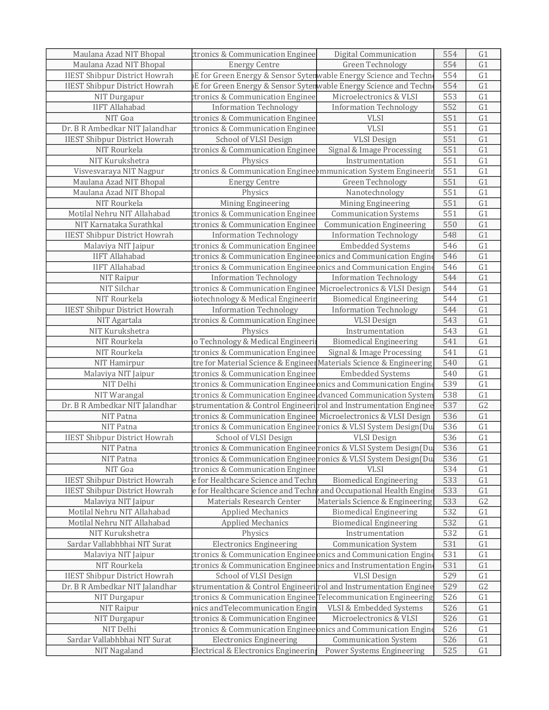| Maulana Azad NIT Bhopal              | ctronics & Communication Enginee                                            | Digital Communication            | 554 | G1             |
|--------------------------------------|-----------------------------------------------------------------------------|----------------------------------|-----|----------------|
| Maulana Azad NIT Bhopal              | <b>Energy Centre</b>                                                        | Green Technology                 | 554 | G1             |
| <b>IIEST Shibpur District Howrah</b> | )E for Green Energy & Sensor Sytenwable Energy Science and Techn            |                                  | 554 | G1             |
| <b>IIEST Shibpur District Howrah</b> | <b>DE for Green Energy &amp; Sensor Sytenwable Energy Science and Techn</b> |                                  | 554 | G1             |
| NIT Durgapur                         | ctronics & Communication Enginee                                            | Microelectronics & VLSI          | 553 | G1             |
| <b>IIFT Allahabad</b>                | <b>Information Technology</b>                                               | <b>Information Technology</b>    | 552 | G1             |
| NIT Goa                              | ctronics & Communication Enginee                                            | <b>VLSI</b>                      | 551 | G1             |
| Dr. B R Ambedkar NIT Jalandhar       | ctronics & Communication Enginee                                            | <b>VLSI</b>                      | 551 | G1             |
| <b>IIEST Shibpur District Howrah</b> | School of VLSI Design                                                       | <b>VLSI</b> Design               | 551 | G1             |
| NIT Rourkela                         | ctronics & Communication Enginee                                            | Signal & Image Processing        | 551 | G1             |
| NIT Kurukshetra                      | Physics                                                                     | Instrumentation                  | 551 | G1             |
| Visvesvaraya NIT Nagpur              | ctronics & Communication Engineeþmmunication System Engineerir              |                                  | 551 | G1             |
| Maulana Azad NIT Bhopal              | <b>Energy Centre</b>                                                        | Green Technology                 | 551 | G1             |
| Maulana Azad NIT Bhopal              | Physics                                                                     | Nanotechnology                   | 551 | G1             |
| NIT Rourkela                         | Mining Engineering                                                          | Mining Engineering               | 551 | G1             |
| Motilal Nehru NIT Allahabad          | ctronics & Communication Enginee                                            | <b>Communication Systems</b>     | 551 | G1             |
| NIT Karnataka Surathkal              | ctronics & Communication Enginee                                            | <b>Communication Engineering</b> | 550 | G1             |
| <b>IIEST Shibpur District Howrah</b> | <b>Information Technology</b>                                               | <b>Information Technology</b>    | 548 | G1             |
| Malaviya NIT Jaipur                  | ctronics & Communication Enginee                                            | <b>Embedded Systems</b>          | 546 | G1             |
| <b>IIFT Allahabad</b>                | ctronics & Communication Enginee onics and Communication Engine             |                                  | 546 | G1             |
| <b>IIFT Allahabad</b>                | ctronics & Communication Enginee onics and Communication Engine             |                                  | 546 | G1             |
| NIT Raipur                           | <b>Information Technology</b>                                               | <b>Information Technology</b>    | 544 | G1             |
| NIT Silchar                          | ctronics & Communication Enginee Microelectronics & VLSI Design             |                                  | 544 | G1             |
| NIT Rourkela                         | iotechnology & Medical Engineerin                                           | <b>Biomedical Engineering</b>    | 544 | G1             |
| <b>IIEST Shibpur District Howrah</b> | <b>Information Technology</b>                                               | <b>Information Technology</b>    | 544 | G1             |
| NIT Agartala                         | ctronics & Communication Enginee                                            | <b>VLSI</b> Design               | 543 | G1             |
| NIT Kurukshetra                      | Physics                                                                     | Instrumentation                  | 543 | G1             |
| NIT Rourkela                         | io Technology & Medical Engineeri                                           | <b>Biomedical Engineering</b>    | 541 | G1             |
| NIT Rourkela                         | ctronics & Communication Enginee                                            | Signal & Image Processing        | 541 | G1             |
| NIT Hamirpur                         | tre for Material Science & Engineer Materials Science & Engineering         |                                  | 540 | G1             |
| Malaviya NIT Jaipur                  | ctronics & Communication Enginee                                            | <b>Embedded Systems</b>          | 540 | G1             |
| NIT Delhi                            | ctronics & Communication Enginee onics and Communication Engine             |                                  | 539 | G1             |
| NIT Warangal                         | ctronics & Communication Enginee dvanced Communication System               |                                  | 538 | G1             |
| Dr. B R Ambedkar NIT Jalandhar       | strumentation & Control Engineerirol and Instrumentation Enginee            |                                  | 537 | G <sub>2</sub> |
| NIT Patna                            | tronics & Communication Enginee Microelectronics & VLSI Design              |                                  | 536 | G1             |
| NIT Patna                            | ctronics & Communication Enginee¦ronics & VLSI System Design(Du             |                                  | 536 | G1             |
| <b>IIEST Shibpur District Howrah</b> | School of VLSI Design                                                       | <b>VLSI</b> Design               | 536 | G1             |
| NIT Patna                            | ctronics & Communication Engineerronics & VLSI System Design(Du             |                                  | 536 | G1             |
| NIT Patna                            | ctronics & Communication Enginee¦ronics & VLSI System Design(Du             |                                  | 536 | G <sub>1</sub> |
| NIT Goa                              | ctronics & Communication Enginee                                            | <b>VLSI</b>                      | 534 | G <sub>1</sub> |
| <b>IIEST Shibpur District Howrah</b> | e for Healthcare Science and Techn                                          | <b>Biomedical Engineering</b>    | 533 | G1             |
| <b>IIEST Shibpur District Howrah</b> | e for Healthcare Science and Techn and Occupational Health Engine           |                                  | 533 | G1             |
| Malaviya NIT Jaipur                  | Materials Research Center                                                   | Materials Science & Engineering  | 533 | G2             |
| Motilal Nehru NIT Allahabad          | <b>Applied Mechanics</b>                                                    | <b>Biomedical Engineering</b>    | 532 | G1             |
| Motilal Nehru NIT Allahabad          | <b>Applied Mechanics</b>                                                    | <b>Biomedical Engineering</b>    | 532 | G1             |
| NIT Kurukshetra                      | Physics                                                                     | Instrumentation                  | 532 | G1             |
| Sardar Vallabhbhai NIT Surat         | <b>Electronics Engineering</b>                                              | <b>Communication System</b>      | 531 | G1             |
| Malaviya NIT Jaipur                  | ctronics & Communication Enginee onics and Communication Engine             |                                  | 531 | G <sub>1</sub> |
| NIT Rourkela                         | ctronics & Communication Engineepnics and Instrumentation Engin             |                                  | 531 | G1             |
| <b>IIEST Shibpur District Howrah</b> | School of VLSI Design                                                       | <b>VLSI</b> Design               | 529 | G1             |
| Dr. B R Ambedkar NIT Jalandhar       | strumentation & Control Engineerirol and Instrumentation Enginee            |                                  | 529 | G2             |
| NIT Durgapur                         | ctronics & Communication Enginee Telecommunication Engineering              |                                  | 526 | G1             |
| NIT Raipur                           | nics andTelecommunication Engin                                             | VLSI & Embedded Systems          | 526 | G <sub>1</sub> |
| NIT Durgapur                         | ctronics & Communication Enginee                                            | Microelectronics & VLSI          | 526 | G <sub>1</sub> |
| NIT Delhi                            | ctronics & Communication Enginee onics and Communication Engine             |                                  | 526 | G1             |
| Sardar Vallabhbhai NIT Surat         | <b>Electronics Engineering</b>                                              | <b>Communication System</b>      | 526 | G1             |
| NIT Nagaland                         | Electrical & Electronics Engineering                                        | Power Systems Engineering        | 525 | G1             |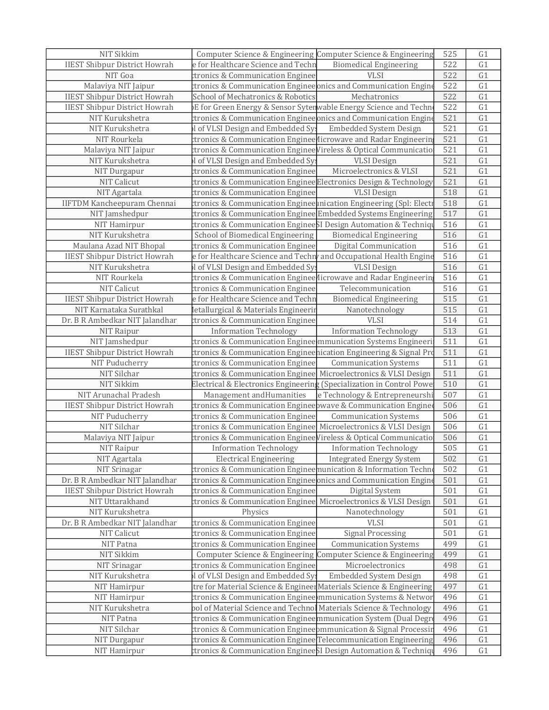| NIT Sikkim                           | Computer Science & Engineering Computer Science & Engineering        |                                 | 525 | G <sub>1</sub> |
|--------------------------------------|----------------------------------------------------------------------|---------------------------------|-----|----------------|
| <b>IIEST Shibpur District Howrah</b> | e for Healthcare Science and Techn                                   | <b>Biomedical Engineering</b>   | 522 | G1             |
| NIT Goa                              | ctronics & Communication Enginee                                     | <b>VLSI</b>                     | 522 | G1             |
| Malaviya NIT Jaipur                  | ctronics & Communication Enginee onics and Communication Engine      |                                 | 522 | G1             |
| <b>IIEST Shibpur District Howrah</b> | School of Mechatronics & Robotics                                    | Mechatronics                    | 522 | G1             |
| <b>IIEST Shibpur District Howrah</b> | )E for Green Energy & Sensor Sytenwable Energy Science and Techn     |                                 | 522 | G1             |
| NIT Kurukshetra                      | ctronics & Communication Enginee onics and Communication Engine      |                                 | 521 | G1             |
| NIT Kurukshetra                      | I of VLSI Design and Embedded Sy:                                    | <b>Embedded System Design</b>   | 521 | G1             |
| NIT Rourkela                         | ctronics & Communication Enginee (licrowave and Radar Engineerin     |                                 | 521 | G1             |
| Malaviya NIT Jaipur                  | ctronics & Communication Enginee Vireless & Optical Communicatio     |                                 | 521 | G1             |
| NIT Kurukshetra                      | I of VLSI Design and Embedded Sy                                     | <b>VLSI</b> Design              | 521 | G1             |
| NIT Durgapur                         | ctronics & Communication Enginee                                     | Microelectronics & VLSI         | 521 | G1             |
| NIT Calicut                          | ctronics & Communication Enginee Electronics Design & Technology     |                                 | 521 | G1             |
| NIT Agartala                         | ctronics & Communication Enginee                                     | <b>VLSI</b> Design              | 518 | G1             |
| <b>IIFTDM Kancheepuram Chennai</b>   | ctronics & Communication Enginee unication Engineering (Spl: Electr  |                                 | 518 | G1             |
| NIT Jamshedpur                       | ctronics & Communication Enginee Embedded Systems Engineering        |                                 | 517 | G1             |
| NIT Hamirpur                         | ctronics & Communication EngineeSI Design Automation & Techniqu      |                                 | 516 | G1             |
| NIT Kurukshetra                      | School of Biomedical Engineering                                     | <b>Biomedical Engineering</b>   | 516 | G1             |
| Maulana Azad NIT Bhopal              | ctronics & Communication Enginee                                     | Digital Communication           | 516 | G1             |
| <b>IIEST Shibpur District Howrah</b> | e for Healthcare Science and Techn and Occupational Health Engine    |                                 | 516 | G1             |
| NIT Kurukshetra                      | I of VLSI Design and Embedded Sy                                     | <b>VLSI Design</b>              | 516 | G1             |
| NIT Rourkela                         | ctronics & Communication Enginee (licrowave and Radar Engineerin     |                                 | 516 | G1             |
| NIT Calicut                          | ctronics & Communication Enginee                                     | Telecommunication               | 516 | G <sub>1</sub> |
| <b>IIEST Shibpur District Howrah</b> | e for Healthcare Science and Techn                                   | <b>Biomedical Engineering</b>   | 515 | G1             |
| NIT Karnataka Surathkal              | Ietallurgical & Materials Engineerir                                 | Nanotechnology                  | 515 | G1             |
| Dr. B R Ambedkar NIT Jalandhar       | ctronics & Communication Enginee                                     | <b>VLSI</b>                     | 514 | G1             |
| NIT Raipur                           | <b>Information Technology</b>                                        | <b>Information Technology</b>   | 513 | G1             |
| NIT Jamshedpur                       | ctronics & Communication Enginee mmunication Systems Engineeri       |                                 | 511 | G <sub>1</sub> |
| <b>IIEST Shibpur District Howrah</b> | ctronics & Communication Engineenication Engineering & Signal Pro    |                                 | 511 | G1             |
| NIT Puducherry                       | ctronics & Communication Enginee                                     | <b>Communication Systems</b>    | 511 | G1             |
| NIT Silchar                          | ctronics & Communication Enginee Microelectronics & VLSI Design      |                                 | 511 | G1             |
| NIT Sikkim                           | Electrical & Electronics Engineering (Specialization in Control Powe |                                 | 510 | G1             |
| NIT Arunachal Pradesh                | Management and Humanities                                            | e Technology & Entrepreneurshi  | 507 | G <sub>1</sub> |
| <b>IIEST Shibpur District Howrah</b> | ctronics & Communication Engineepwave & Communication Enginee        |                                 | 506 | G1             |
| NIT Puducherry                       | ctronics & Communication Enginee                                     | <b>Communication Systems</b>    | 506 | G1             |
| NIT Silchar                          | ctronics & Communication Enginee Microelectronics & VLSI Design      |                                 | 506 | G1             |
| Malaviya NIT Jaipur                  | ctronics & Communication Enginee Vireless & Optical Communicatio     |                                 | 506 | G1             |
| NIT Raipur                           | <b>Information Technology</b>                                        | <b>Information Technology</b>   | 505 | G1             |
| NIT Agartala                         | <b>Electrical Engineering</b>                                        | <b>Integrated Energy System</b> | 502 | G <sub>1</sub> |
| NIT Srinagar                         | ctronics & Communication Engineemunication & Information Techn       |                                 | 502 | G1             |
| Dr. B R Ambedkar NIT Jalandhar       | ctronics & Communication Enginee onics and Communication Engine      |                                 | 501 | G1             |
| <b>IIEST Shibpur District Howrah</b> | ctronics & Communication Enginee                                     | Digital System                  | 501 | G1             |
| NIT Uttarakhand                      | ctronics & Communication Enginee                                     | Microelectronics & VLSI Design  | 501 | G1             |
| NIT Kurukshetra                      | Physics                                                              | Nanotechnology                  | 501 | G1             |
| Dr. B R Ambedkar NIT Jalandhar       | ctronics & Communication Enginee                                     | <b>VLSI</b>                     | 501 | G1             |
| NIT Calicut                          | ctronics & Communication Enginee                                     | <b>Signal Processing</b>        | 501 | G <sub>1</sub> |
| NIT Patna                            | ctronics & Communication Enginee                                     | <b>Communication Systems</b>    | 499 | G <sub>1</sub> |
| NIT Sikkim                           | Computer Science & Engineering Computer Science & Engineering        |                                 | 499 | G1             |
| NIT Srinagar                         | ctronics & Communication Enginee                                     | Microelectronics                | 498 | G1             |
| NIT Kurukshetra                      | I of VLSI Design and Embedded Sy:                                    | Embedded System Design          | 498 | G1             |
| NIT Hamirpur                         | tre for Material Science & Engineer Materials Science & Engineering  |                                 | 497 | G1             |
| NIT Hamirpur                         | ctronics & Communication Enginee)mmunication Systems & Networ        |                                 | 496 | G1             |
| NIT Kurukshetra                      | pol of Material Science and Technol Materials Science & Technology   |                                 | 496 | G1             |
| NIT Patna                            | ctronics & Communication Engineemmunication System (Dual Degr        |                                 | 496 | G1             |
| NIT Silchar                          | ctronics & Communication Engineeþmmunication & Signal Processir      |                                 | 496 | G1             |
| NIT Durgapur                         | ctronics & Communication Enginee Telecommunication Engineering       |                                 | 496 | G1             |
| NIT Hamirpur                         | ctronics & Communication EngineeSI Design Automation & Techniqı      |                                 | 496 | G1             |
|                                      |                                                                      |                                 |     |                |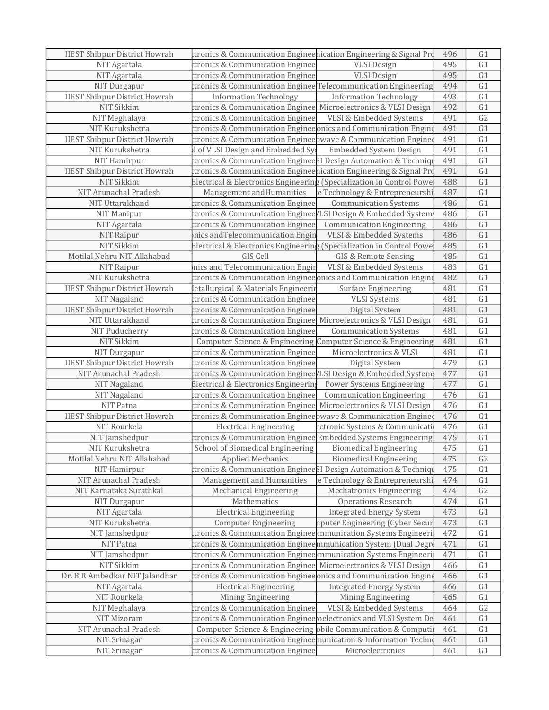| <b>IIEST Shibpur District Howrah</b> | ctronics & Communication Engineenication Engineering & Signal Pro                 |                                  | 496 | G1             |
|--------------------------------------|-----------------------------------------------------------------------------------|----------------------------------|-----|----------------|
| NIT Agartala                         | ctronics & Communication Enginee                                                  | <b>VLSI</b> Design               | 495 | G1             |
| NIT Agartala                         | ctronics & Communication Enginee                                                  | <b>VLSI Design</b>               | 495 | G1             |
| NIT Durgapur                         | ctronics & Communication Enginee Telecommunication Engineering                    |                                  | 494 | G1             |
| <b>IIEST Shibpur District Howrah</b> | <b>Information Technology</b>                                                     | <b>Information Technology</b>    | 493 | G1             |
| NIT Sikkim                           | ctronics & Communication Enginee Microelectronics & VLSI Design                   |                                  | 492 | G1             |
| NIT Meghalaya                        | ctronics & Communication Enginee                                                  | VLSI & Embedded Systems          | 491 | G2             |
| NIT Kurukshetra                      | ctronics & Communication Enginee onics and Communication Engine                   |                                  | 491 | G1             |
| <b>IIEST Shibpur District Howrah</b> | ctronics & Communication Engineepwave & Communication Enginee                     |                                  | 491 | G1             |
| NIT Kurukshetra                      | I of VLSI Design and Embedded Sy                                                  | <b>Embedded System Design</b>    | 491 | G1             |
| NIT Hamirpur                         | ctronics & Communication EngineeSI Design Automation & Techniqu                   |                                  | 491 | G1             |
| <b>IIEST Shibpur District Howrah</b> | ctronics & Communication Engineehication Engineering & Signal Pro                 |                                  | 491 | G1             |
| NIT Sikkim                           | Electrical & Electronics Engineering (Specialization in Control Powe              |                                  | 488 | G1             |
| NIT Arunachal Pradesh                | Management and Humanities                                                         | e Technology & Entrepreneurshi   | 487 | G1             |
| NIT Uttarakhand                      | ctronics & Communication Enginee                                                  | <b>Communication Systems</b>     | 486 | G1             |
| NIT Manipur                          | ctronics & Communication Enginee/LSI Design & Embedded System                     |                                  | 486 | G1             |
| NIT Agartala                         | ctronics & Communication Enginee                                                  | <b>Communication Engineering</b> | 486 | G1             |
| NIT Raipur                           | nics and Telecommunication Engin                                                  | VLSI & Embedded Systems          | 486 | G1             |
| NIT Sikkim                           | Electrical & Electronics Engineerin $\frac{1}{2}$ (Specialization in Control Powe |                                  | 485 | G1             |
| Motilal Nehru NIT Allahabad          | GIS Cell                                                                          | GIS & Remote Sensing             | 485 | G1             |
| NIT Raipur                           | nics and Telecommunication Engin                                                  | VLSI & Embedded Systems          | 483 | G1             |
| NIT Kurukshetra                      | ctronics & Communication Enginee onics and Communication Engine                   |                                  | 482 | G1             |
| <b>IIEST Shibpur District Howrah</b> | Ietallurgical & Materials Engineerir                                              | <b>Surface Engineering</b>       | 481 | G1             |
| NIT Nagaland                         | ctronics & Communication Enginee                                                  | <b>VLSI</b> Systems              | 481 | G1             |
| <b>IIEST Shibpur District Howrah</b> | ctronics & Communication Enginee                                                  | Digital System                   | 481 | G1             |
| NIT Uttarakhand                      | ctronics & Communication Enginee Microelectronics & VLSI Design                   |                                  | 481 | G1             |
| NIT Puducherry                       | ctronics & Communication Enginee                                                  | <b>Communication Systems</b>     | 481 | G1             |
| NIT Sikkim                           | Computer Science & Engineering Computer Science & Engineering                     |                                  | 481 | G1             |
| NIT Durgapur                         | ctronics & Communication Enginee                                                  | Microelectronics & VLSI          | 481 | G1             |
| <b>IIEST Shibpur District Howrah</b> | ctronics & Communication Enginee                                                  | Digital System                   | 479 | G1             |
| NIT Arunachal Pradesh                | tronics & Communication Enginee/LSI Design & Embedded System                      |                                  | 477 | G1             |
| NIT Nagaland                         | Electrical & Electronics Engineerin                                               | Power Systems Engineering        | 477 | G1             |
| NIT Nagaland                         | ctronics & Communication Enginee                                                  | <b>Communication Engineering</b> | 476 | G1             |
| NIT Patna                            | ctronics & Communication Enginee Microelectronics & VLSI Design                   |                                  | 476 | G1             |
| <b>IIEST Shibpur District Howrah</b> | ctronics & Communication Engineepwave & Communication Enginee                     |                                  | 476 | G1             |
| NIT Rourkela                         | <b>Electrical Engineering</b>                                                     | ectronic Systems & Communicati   | 476 | G1             |
| NIT Jamshedpur                       | tronics & Communication Enginee Embedded Systems Engineering                      |                                  | 475 | G1             |
| NIT Kurukshetra                      | School of Biomedical Engineering Biomedical Engineering                           |                                  | 475 | G1             |
| Motilal Nehru NIT Allahabad          | <b>Applied Mechanics</b>                                                          | <b>Biomedical Engineering</b>    | 475 | G <sub>2</sub> |
| NIT Hamirpur                         | ctronics & Communication EngineeSI Design Automation & Techniq                    |                                  | 475 | G <sub>1</sub> |
| NIT Arunachal Pradesh                | Management and Humanities                                                         | e Technology & Entrepreneurshi   | 474 | G1             |
| NIT Karnataka Surathkal              | <b>Mechanical Engineering</b>                                                     | <b>Mechatronics Engineering</b>  | 474 | G <sub>2</sub> |
| NIT Durgapur                         | Mathematics                                                                       | <b>Operations Research</b>       | 474 | G1             |
| NIT Agartala                         | <b>Electrical Engineering</b>                                                     | <b>Integrated Energy System</b>  | 473 | G1             |
| NIT Kurukshetra                      | <b>Computer Engineering</b>                                                       | nputer Engineering (Cyber Secur  | 473 | G1             |
| NIT Jamshedpur                       | ctronics & Communication Enginee mmunication Systems Engineeri                    |                                  | 472 | G1             |
| NIT Patna                            | ctronics & Communication Engineemmunication System (Dual Degr                     |                                  | 471 | G1             |
| NIT Jamshedpur                       | tronics & Communication Enginee mmunication Systems Engineeri                     |                                  | 471 | G <sub>1</sub> |
| NIT Sikkim                           | ttronics & Communication Enginee  Microelectronics & VLSI Design                  |                                  | 466 | G1             |
| Dr. B R Ambedkar NIT Jalandhar       | ctronics & Communication Enginee onics and Communication Engine                   |                                  | 466 | G1             |
| NIT Agartala                         | <b>Electrical Engineering</b>                                                     | <b>Integrated Energy System</b>  | 466 | G1             |
| NIT Rourkela                         | Mining Engineering                                                                | Mining Engineering               | 465 | G1             |
| NIT Meghalaya                        | ctronics & Communication Enginee                                                  | VLSI & Embedded Systems          | 464 | G <sub>2</sub> |
| NIT Mizoram                          | ctronics & Communication Enginee oelectronics and VLSI System De                  |                                  | 461 | G1             |
| NIT Arunachal Pradesh                | Computer Science & Engineering obile Communication & Computi                      |                                  | 461 | G1             |
| NIT Srinagar                         | ctronics & Communication Engineemunication & Information Techn                    |                                  | 461 | G <sub>1</sub> |
| NIT Srinagar                         | ctronics & Communication Enginee                                                  | Microelectronics                 | 461 | G1             |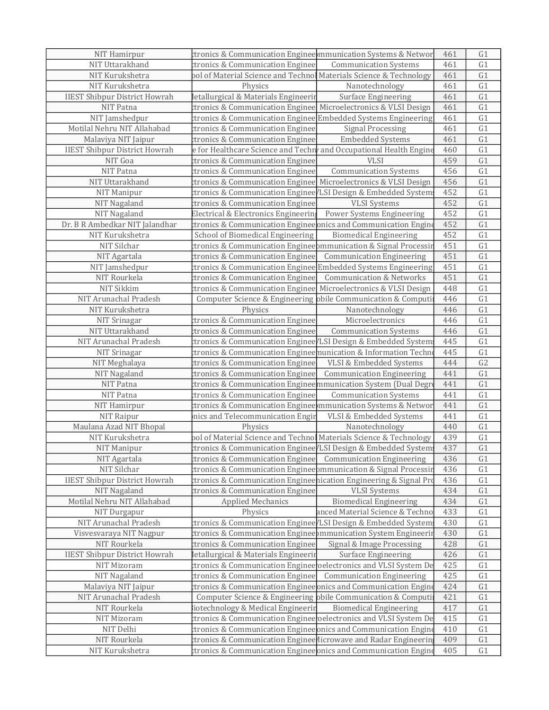| <b>NIT Hamirpur</b>                  | ctronics & Communication Enginee mmunication Systems & Networ                                                                       |                                     | 461        | G1              |
|--------------------------------------|-------------------------------------------------------------------------------------------------------------------------------------|-------------------------------------|------------|-----------------|
| NIT Uttarakhand                      | ctronics & Communication Enginee                                                                                                    | <b>Communication Systems</b>        | 461        | G1              |
| NIT Kurukshetra                      | pol of Material Science and Technol Materials Science & Technology                                                                  |                                     | 461        | G1              |
| NIT Kurukshetra                      | Physics                                                                                                                             | Nanotechnology                      | 461        | G1              |
| <b>IIEST Shibpur District Howrah</b> | Ietallurgical & Materials Engineerir                                                                                                | <b>Surface Engineering</b>          | 461        | G1              |
| NIT Patna                            | ctronics & Communication Enginee Microelectronics & VLSI Design                                                                     |                                     | 461        | G1              |
| NIT Jamshedpur                       | ctronics & Communication Enginee Embedded Systems Engineering                                                                       |                                     | 461        | G1              |
| Motilal Nehru NIT Allahabad          | ctronics & Communication Enginee                                                                                                    | <b>Signal Processing</b>            | 461        | G1              |
| Malaviya NIT Jaipur                  | ctronics & Communication Enginee                                                                                                    | <b>Embedded Systems</b>             | 461        | G1              |
| <b>IIEST Shibpur District Howrah</b> | e for Healthcare Science and Techn and Occupational Health Engine                                                                   |                                     | 460        | G1              |
| NIT Goa                              | ctronics & Communication Enginee                                                                                                    | <b>VLSI</b>                         | 459        | $\overline{G1}$ |
| NIT Patna                            | ctronics & Communication Enginee                                                                                                    | <b>Communication Systems</b>        | 456        | G1              |
| NIT Uttarakhand                      | ctronics & Communication Enginee Microelectronics & VLSI Design                                                                     |                                     | 456        | G1              |
| NIT Manipur                          | ctronics & Communication Enginee / LSI Design & Embedded System                                                                     |                                     | 452        | G1              |
| NIT Nagaland                         | ctronics & Communication Enginee                                                                                                    | <b>VLSI</b> Systems                 | 452        | G1              |
| NIT Nagaland                         | Electrical & Electronics Engineering                                                                                                | Power Systems Engineering           | 452        | G1              |
| Dr. B R Ambedkar NIT Jalandhar       | ctronics & Communication Enginee onics and Communication Engine                                                                     |                                     | 452        | $\overline{G1}$ |
| NIT Kurukshetra                      | School of Biomedical Engineering                                                                                                    | <b>Biomedical Engineering</b>       | 452        | G1              |
| NIT Silchar                          | ctronics & Communication Engineeþmmunication & Signal Processir                                                                     |                                     | 451        | G1              |
| NIT Agartala                         | ctronics & Communication Enginee                                                                                                    | <b>Communication Engineering</b>    | 451        | G1              |
| NIT Jamshedpur                       | ctronics & Communication Enginee Embedded Systems Engineering                                                                       |                                     | 451        | G1              |
| NIT Rourkela                         | ctronics & Communication Enginee                                                                                                    | <b>Communication &amp; Networks</b> | 451        | G1              |
| NIT Sikkim                           | ctronics & Communication Enginee Microelectronics & VLSI Design                                                                     |                                     | 448        | G1              |
| NIT Arunachal Pradesh                | Computer Science & Engineering obile Communication & Computi                                                                        |                                     | 446        | G1              |
| NIT Kurukshetra                      | Physics                                                                                                                             | Nanotechnology                      | 446        | G1              |
| NIT Srinagar                         | ctronics & Communication Enginee                                                                                                    | Microelectronics                    | 446        | G1              |
| NIT Uttarakhand                      | ctronics & Communication Enginee                                                                                                    | <b>Communication Systems</b>        | 446        | G1              |
| NIT Arunachal Pradesh                | ctronics & Communication Enginee/LSI Design & Embedded System                                                                       |                                     | 445        | G1              |
| NIT Srinagar                         | ctronics & Communication Engineemunication & Information Techn                                                                      |                                     | 445        | G1              |
| NIT Meghalaya                        | ctronics & Communication Enginee                                                                                                    | VLSI & Embedded Systems             | 444        | G <sub>2</sub>  |
| NIT Nagaland                         | ctronics & Communication Enginee                                                                                                    | <b>Communication Engineering</b>    | 441        | G1              |
| NIT Patna                            | ctronics & Communication Engineemmunication System (Dual Degr                                                                       |                                     | 441        | G1              |
| NIT Patna                            | ctronics & Communication Enginee                                                                                                    | <b>Communication Systems</b>        | 441        | G1              |
| NIT Hamirpur                         | ctronics & Communication Enginee mmunication Systems & Networ                                                                       |                                     | 441        | G1              |
| NIT Raipur                           | nics and Telecommunication Engin                                                                                                    | <b>VLSI &amp; Embedded Systems</b>  | 441        | G1              |
| Maulana Azad NIT Bhopal              | Physics                                                                                                                             | Nanotechnology                      | 440        | G1              |
| NIT Kurukshetra                      | pol of Material Science and Technol Materials Science & Technology                                                                  |                                     | 439        | G1              |
| NIT Manipur                          | tronics & Communication Enginee/LSI Design & Embedded System                                                                        |                                     | 437        | G1              |
| NIT Agartala                         | ctronics & Communication Enginee Communication Engineering                                                                          |                                     | 436        | G <sub>1</sub>  |
| NIT Silchar                          | ctronics & Communication Engineeþmmunication & Signal Processiı                                                                     |                                     | 436        | G1              |
| <b>IIEST Shibpur District Howrah</b> | ctronics & Communication Engineenication Engineering & Signal Pro                                                                   |                                     | 436        | G <sub>1</sub>  |
| NIT Nagaland                         | ctronics & Communication Enginee                                                                                                    | <b>VLSI</b> Systems                 | 434        | G1              |
| Motilal Nehru NIT Allahabad          | <b>Applied Mechanics</b>                                                                                                            | <b>Biomedical Engineering</b>       | 434        | G1              |
| NIT Durgapur                         | Physics                                                                                                                             | anced Material Science & Techno     | 433        | G1              |
| NIT Arunachal Pradesh                | ctronics & Communication Enginee / LSI Design & Embedded System                                                                     |                                     | 430        | G1              |
| Visvesvaraya NIT Nagpur              | ctronics & Communication Engineeþmmunication System Engineeriı                                                                      |                                     | 430        | G1              |
| NIT Rourkela                         | ctronics & Communication Enginee                                                                                                    | Signal & Image Processing           | 428        | G1              |
| <b>IIEST Shibpur District Howrah</b> | Ietallurgical & Materials Engineerir                                                                                                | Surface Engineering                 | 426        | G1              |
| NIT Mizoram                          | ctronics & Communication Enginee oelectronics and VLSI System De                                                                    |                                     | 425        | G1              |
| NIT Nagaland                         | ctronics & Communication Enginee                                                                                                    | <b>Communication Engineering</b>    | 425        | G1              |
| Malaviya NIT Jaipur                  | ctronics & Communication Enginee onics and Communication Engine                                                                     |                                     | 424        | G1              |
| NIT Arunachal Pradesh                | Computer Science & Engineering obile Communication & Computi                                                                        |                                     | 421        | G1              |
| NIT Rourkela                         | iotechnology & Medical Engineerin                                                                                                   | <b>Biomedical Engineering</b>       | 417        | G1              |
| NIT Mizoram                          | ctronics & Communication Engineeroelectronics and VLSI System De                                                                    |                                     | 415        | G1              |
| NIT Delhi<br>NIT Rourkela            | ctronics & Communication Enginee onics and Communication Engine                                                                     |                                     | 410        | G1              |
| NIT Kurukshetra                      | ctronics & Communication Enginee (licrowave and Radar Engineerin<br>ctronics & Communication Enginee onics and Communication Engine |                                     | 409<br>405 | G1<br>G1        |
|                                      |                                                                                                                                     |                                     |            |                 |